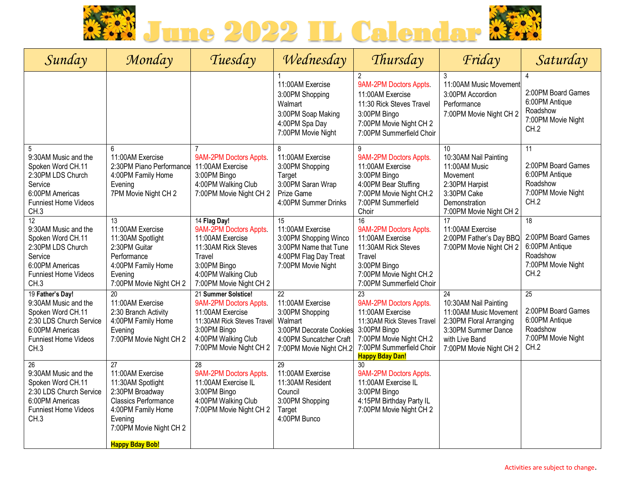

| Sunday                                                                                                                                             | Monday                                                                                                                                                                                           | Tuesday                                                                                                                                                           | Wednesday                                                                                                                                          | Thursday                                                                                                                                                                                     | Friday                                                                                                                                               | Saturday                                                                                          |
|----------------------------------------------------------------------------------------------------------------------------------------------------|--------------------------------------------------------------------------------------------------------------------------------------------------------------------------------------------------|-------------------------------------------------------------------------------------------------------------------------------------------------------------------|----------------------------------------------------------------------------------------------------------------------------------------------------|----------------------------------------------------------------------------------------------------------------------------------------------------------------------------------------------|------------------------------------------------------------------------------------------------------------------------------------------------------|---------------------------------------------------------------------------------------------------|
|                                                                                                                                                    |                                                                                                                                                                                                  |                                                                                                                                                                   | 11:00AM Exercise<br>3:00PM Shopping<br>Walmart<br>3:00PM Soap Making<br>4:00PM Spa Day<br>7:00PM Movie Night                                       | 2<br>9AM-2PM Doctors Appts.<br>11:00AM Exercise<br>11:30 Rick Steves Travel<br>3:00PM Bingo<br>7:00PM Movie Night CH 2<br>7:00PM Summerfield Choir                                           | 3<br>11:00AM Music Movement<br>3:00PM Accordion<br>Performance<br>7:00PM Movie Night CH 2                                                            | 4<br>2:00PM Board Games<br>6:00PM Antique<br>Roadshow<br>7:00PM Movie Night<br>CH.2               |
| 5<br>9:30AM Music and the<br>Spoken Word CH.11<br>2:30PM LDS Church<br>Service<br>6:00PM Americas<br><b>Funniest Home Videos</b><br>CH.3           | 6<br>11:00AM Exercise<br>2:30PM Piano Performance<br>4:00PM Family Home<br>Evening<br>7PM Movie Night CH 2                                                                                       | 9AM-2PM Doctors Appts.<br>11:00AM Exercise<br>3:00PM Bingo<br>4:00PM Walking Club<br>7:00PM Movie Night CH 2                                                      | 8<br>11:00AM Exercise<br>3:00PM Shopping<br>Target<br>3:00PM Saran Wrap<br>Prize Game<br>4:00PM Summer Drinks                                      | 9<br>9AM-2PM Doctors Appts.<br>11:00AM Exercise<br>3:00PM Bingo<br>4:00PM Bear Stuffing<br>7:00PM Movie Night CH.2<br>7:00PM Summerfield<br>Choir                                            | 10<br>10:30AM Nail Painting<br>11:00AM Music<br>Movement<br>2:30PM Harpist<br>3:30PM Cake<br>Demonstration<br>7:00PM Movie Night CH 2                | 11<br>2:00PM Board Games<br>6:00PM Antique<br>Roadshow<br>7:00PM Movie Night<br>CH.2              |
| 12<br>9:30AM Music and the<br>Spoken Word CH.11<br>2:30PM LDS Church<br>Service<br>6:00PM Americas<br>Funniest Home Videos<br>CH.3                 | 13<br>11:00AM Exercise<br>11:30AM Spotlight<br>2:30PM Guitar<br>Performance<br>4:00PM Family Home<br>Evening<br>7:00PM Movie Night CH 2                                                          | 14 Flag Day!<br>9AM-2PM Doctors Appts.<br>11:00AM Exercise<br>11:30AM Rick Steves<br>Travel<br>3:00PM Bingo<br>4:00PM Walking Club<br>7:00PM Movie Night CH 2     | 15<br>11:00AM Exercise<br>3:00PM Shopping Winco<br>3:00PM Name that Tune<br>4:00PM Flag Day Treat<br>7:00PM Movie Night                            | 16<br>9AM-2PM Doctors Appts.<br>11:00AM Exercise<br>11:30AM Rick Steves<br>Travel<br>3:00PM Bingo<br>7:00PM Movie Night CH.2<br>7:00PM Summerfield Choir                                     | 17<br>11:00AM Exercise<br>2:00PM Father's Day BBQ<br>7:00PM Movie Night CH 2                                                                         | $\overline{18}$<br>2:00PM Board Games<br>6:00PM Antique<br>Roadshow<br>7:00PM Movie Night<br>CH.2 |
| 19 Father's Day!<br>9:30AM Music and the<br>Spoken Word CH.11<br>2:30 LDS Church Service<br>6:00PM Americas<br><b>Funniest Home Videos</b><br>CH.3 | 20<br>11:00AM Exercise<br>2:30 Branch Activity<br>4:00PM Family Home<br>Evening<br>7:00PM Movie Night CH 2                                                                                       | 21 Summer Solstice!<br>9AM-2PM Doctors Appts.<br>11:00AM Exercise<br>11:30AM Rick Steves Travel<br>3:00PM Bingo<br>4:00PM Walking Club<br>7:00PM Movie Night CH 2 | $\overline{22}$<br>11:00AM Exercise<br>3:00PM Shopping<br>Walmart<br>3:00PM Decorate Cookies<br>4:00PM Suncatcher Craft<br>7:00PM Movie Night CH.2 | $\overline{23}$<br>9AM-2PM Doctors Appts.<br>11:00AM Exercise<br>11:30AM Rick Steves Travel<br>3:00PM Bingo<br>7:00PM Movie Night CH.2<br>7:00PM Summerfield Choir<br><b>Happy Bday Dan!</b> | 24<br>10:30AM Nail Painting<br>11:00AM Music Movement<br>2:30PM Floral Arranging<br>3:30PM Summer Dance<br>with Live Band<br>7:00PM Movie Night CH 2 | 25<br>2:00PM Board Games<br>6:00PM Antique<br>Roadshow<br>7:00PM Movie Night<br>CH.2              |
| 26<br>9:30AM Music and the<br>Spoken Word CH.11<br>2:30 LDS Church Service<br>6:00PM Americas<br><b>Funniest Home Videos</b><br>CH <sub>3</sub>    | $\overline{27}$<br>11:00AM Exercise<br>11:30AM Spotlight<br>2:30PM Broadway<br><b>Classics Performance</b><br>4:00PM Family Home<br>Evening<br>7:00PM Movie Night CH 2<br><b>Happy Bday Bob!</b> | 28<br>9AM-2PM Doctors Appts.<br>11:00AM Exercise IL<br>3:00PM Bingo<br>4:00PM Walking Club<br>7:00PM Movie Night CH 2                                             | 29<br>11:00AM Exercise<br>11:30AM Resident<br>Council<br>3:00PM Shopping<br>Target<br>4:00PM Bunco                                                 | 30<br>9AM-2PM Doctors Appts.<br>11:00AM Exercise IL<br>3:00PM Bingo<br>4:15PM Birthday Party IL<br>7:00PM Movie Night CH 2                                                                   |                                                                                                                                                      |                                                                                                   |